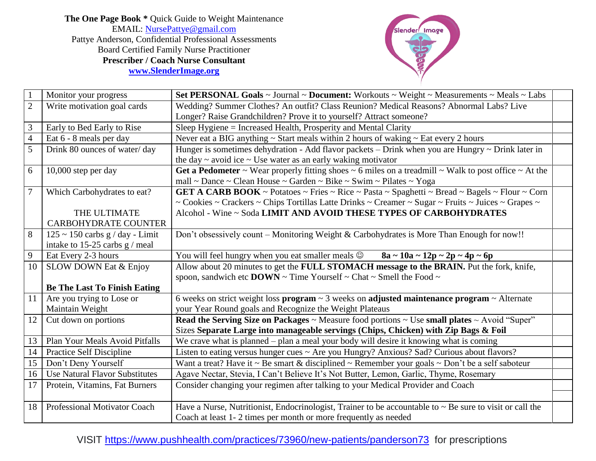**The One Page Book \*** Quick Guide to Weight Maintenance EMAIL: [NursePattye@gmail.com](mailto:NursePattye@gmail.com) Pattye Anderson, Confidential Professional Assessments Board Certified Family Nurse Practitioner **Prescriber / Coach Nurse Consultant [www.SlenderImage.org](http://www.slenderimage.org/)**



| $\mathbf{1}$   | Monitor your progress                 | Set PERSONAL Goals ~ Journal ~ Document: Workouts ~ Weight ~ Measurements ~ Meals ~ Labs                      |
|----------------|---------------------------------------|---------------------------------------------------------------------------------------------------------------|
| $\mathbf{2}$   | Write motivation goal cards           | Wedding? Summer Clothes? An outfit? Class Reunion? Medical Reasons? Abnormal Labs? Live                       |
|                |                                       | Longer? Raise Grandchildren? Prove it to yourself? Attract someone?                                           |
| $\mathfrak{Z}$ | Early to Bed Early to Rise            | Sleep Hygiene = Increased Health, Prosperity and Mental Clarity                                               |
| $\overline{4}$ | Eat 6 - 8 meals per day               | Never eat a BIG anything $\sim$ Start meals within 2 hours of waking $\sim$ Eat every 2 hours                 |
| 5              | Drink 80 ounces of water/day          | Hunger is sometimes dehydration - Add flavor packets - Drink when you are Hungry ~ Drink later in             |
|                |                                       | the day $\sim$ avoid ice $\sim$ Use water as an early waking motivator                                        |
| 6              | 10,000 step per day                   | Get a Pedometer ~ Wear properly fitting shoes ~ 6 miles on a treadmill ~ Walk to post office ~ At the         |
|                |                                       | mall ~ Dance ~ Clean House ~ Garden ~ Bike ~ Swim ~ Pilates ~ Yoga                                            |
| $\overline{7}$ | Which Carbohydrates to eat?           | GET A CARB BOOK ~ Potatoes ~ Fries ~ Rice ~ Pasta ~ Spaghetti ~ Bread ~ Bagels ~ Flour ~ Corn                 |
|                |                                       | ~ Cookies ~ Crackers ~ Chips Tortillas Latte Drinks ~ Creamer ~ Sugar ~ Fruits ~ Juices ~ Grapes ~            |
|                | THE ULTIMATE                          | Alcohol - Wine ~ Soda LIMIT AND AVOID THESE TYPES OF CARBOHYDRATES                                            |
|                | <b>CARBOHYDRATE COUNTER</b>           |                                                                                                               |
| 8              | $125 \sim 150$ carbs g / day - Limit  | Don't obsessively count – Monitoring Weight & Carbohydrates is More Than Enough for now!!                     |
|                | intake to 15-25 carbs $g/m$ eal       |                                                                                                               |
| 9              | Eat Every 2-3 hours                   | You will feel hungry when you eat smaller meals $\circledcirc$ 8a ~ 10a ~ 12p ~ 2p ~ 4p ~ 6p                  |
| 10             | <b>SLOW DOWN Eat &amp; Enjoy</b>      | Allow about 20 minutes to get the FULL STOMACH message to the BRAIN. Put the fork, knife,                     |
|                |                                       | spoon, sandwich etc DOWN $\sim$ Time Yourself $\sim$ Chat $\sim$ Smell the Food $\sim$                        |
|                | <b>Be The Last To Finish Eating</b>   |                                                                                                               |
| 11             | Are you trying to Lose or             | 6 weeks on strict weight loss program $\sim$ 3 weeks on adjusted maintenance program $\sim$ Alternate         |
|                | Maintain Weight                       | your Year Round goals and Recognize the Weight Plateaus                                                       |
| 12             | Cut down on portions                  | Read the Serving Size on Packages $\sim$ Measure food portions $\sim$ Use small plates $\sim$ Avoid "Super"   |
|                |                                       | Sizes Separate Large into manageable servings (Chips, Chicken) with Zip Bags & Foil                           |
| 13             | Plan Your Meals Avoid Pitfalls        | We crave what is planned – plan a meal your body will desire it knowing what is coming                        |
| 14             | <b>Practice Self Discipline</b>       | Listen to eating versus hunger cues ~ Are you Hungry? Anxious? Sad? Curious about flavors?                    |
| 15             | Don't Deny Yourself                   | Want a treat? Have it ~ Be smart & disciplined ~ Remember your goals ~ Don't be a self saboteur               |
| 16             | <b>Use Natural Flavor Substitutes</b> | Agave Nectar, Stevia, I Can't Believe It's Not Butter, Lemon, Garlic, Thyme, Rosemary                         |
| 17             | Protein, Vitamins, Fat Burners        | Consider changing your regimen after talking to your Medical Provider and Coach                               |
|                |                                       |                                                                                                               |
| 18             | Professional Motivator Coach          | Have a Nurse, Nutritionist, Endocrinologist, Trainer to be accountable to $\sim$ Be sure to visit or call the |
|                |                                       | Coach at least 1-2 times per month or more frequently as needed                                               |